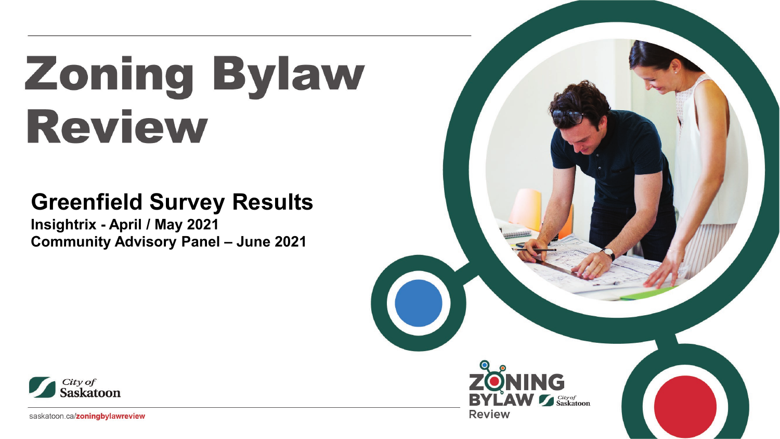# **Zoning Bylaw Review**

# **Greenfield Survey Results**

**Insightrix - April / May 2021 Community Advisory Panel – June 2021**



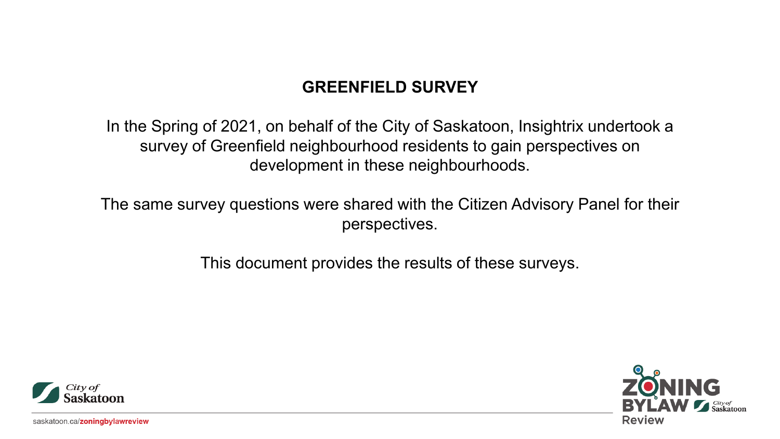# **GREENFIELD SURVEY**

In the Spring of 2021, on behalf of the City of Saskatoon, Insightrix undertook a survey of Greenfield neighbourhood residents to gain perspectives on development in these neighbourhoods.

The same survey questions were shared with the Citizen Advisory Panel for their perspectives.

This document provides the results of these surveys.



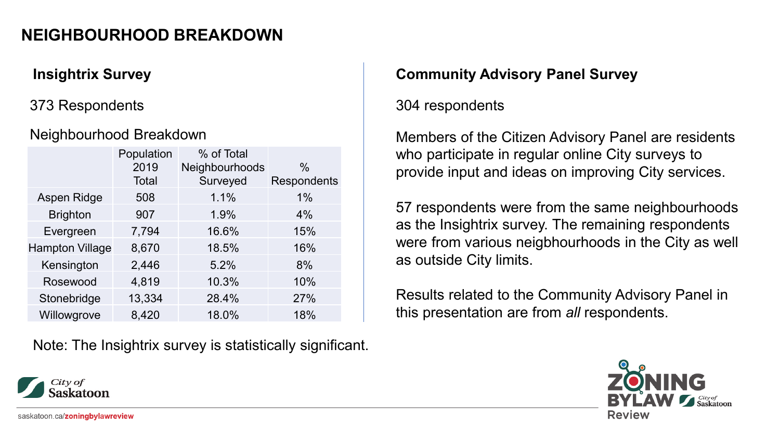# **NEIGHBOURHOOD BREAKDOWN**

#### 373 Respondents

#### Neighbourhood Breakdown

|                        | Population   | % of Total     |               |
|------------------------|--------------|----------------|---------------|
|                        | 2019         | Neighbourhoods | $\frac{0}{0}$ |
|                        | <b>Total</b> | Surveyed       | Respondents   |
| Aspen Ridge            | 508          | 1.1%           | 1%            |
| <b>Brighton</b>        | 907          | 1.9%           | 4%            |
| Evergreen              | 7,794        | 16.6%          | 15%           |
| <b>Hampton Village</b> | 8,670        | 18.5%          | 16%           |
| Kensington             | 2,446        | 5.2%           | 8%            |
| Rosewood               | 4,819        | 10.3%          | 10%           |
| Stonebridge            | 13,334       | 28.4%          | 27%           |
| Willowgrove            | 8,420        | 18.0%          | 18%           |

Note: The Insightrix survey is statistically significant.

#### **Insightrix Survey Community Advisory Panel Survey**

#### 304 respondents

Members of the Citizen Advisory Panel are residents who participate in regular online City surveys to provide input and ideas on improving City services.

57 respondents were from the same neighbourhoods as the Insightrix survey. The remaining respondents were from various neigbhourhoods in the City as well as outside City limits.

Results related to the Community Advisory Panel in this presentation are from *all* respondents.



saskatoon.ca/zoningbylawreview

City of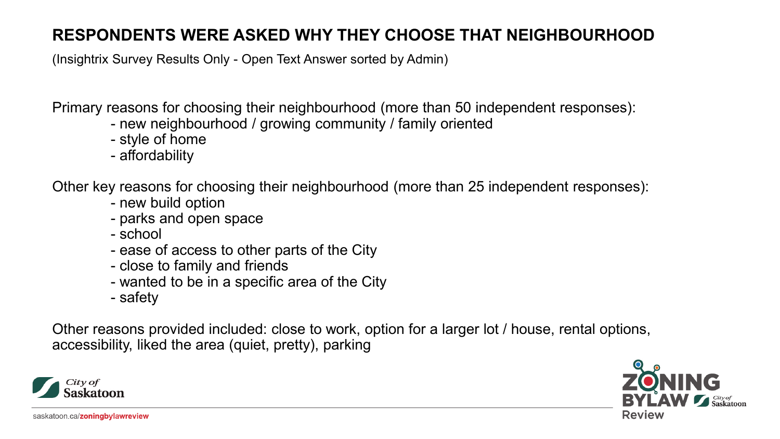# **RESPONDENTS WERE ASKED WHY THEY CHOOSE THAT NEIGHBOURHOOD**

(Insightrix Survey Results Only - Open Text Answer sorted by Admin)

Primary reasons for choosing their neighbourhood (more than 50 independent responses):

- new neighbourhood / growing community / family oriented
- style of home
- affordability

Other key reasons for choosing their neighbourhood (more than 25 independent responses):

- new build option
- parks and open space
- school
- ease of access to other parts of the City
- close to family and friends
- wanted to be in a specific area of the City
- safety

Other reasons provided included: close to work, option for a larger lot / house, rental options, accessibility, liked the area (quiet, pretty), parking



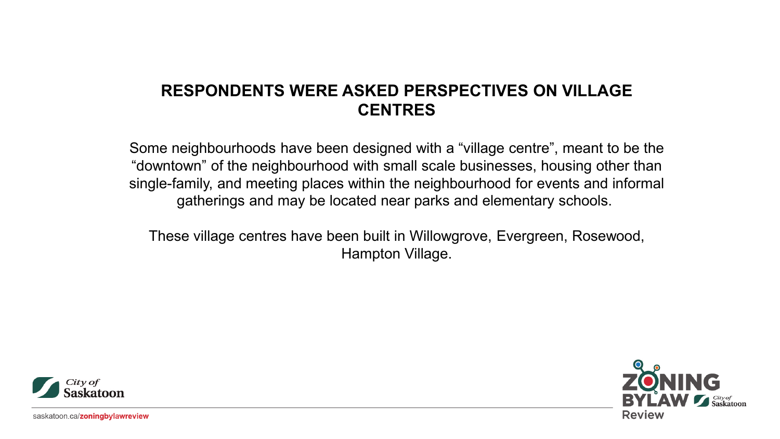# **RESPONDENTS WERE ASKED PERSPECTIVES ON VILLAGE CENTRES**

Some neighbourhoods have been designed with a "village centre", meant to be the "downtown" of the neighbourhood with small scale businesses, housing other than single-family, and meeting places within the neighbourhood for events and informal gatherings and may be located near parks and elementary schools.

These village centres have been built in Willowgrove, Evergreen, Rosewood, Hampton Village.



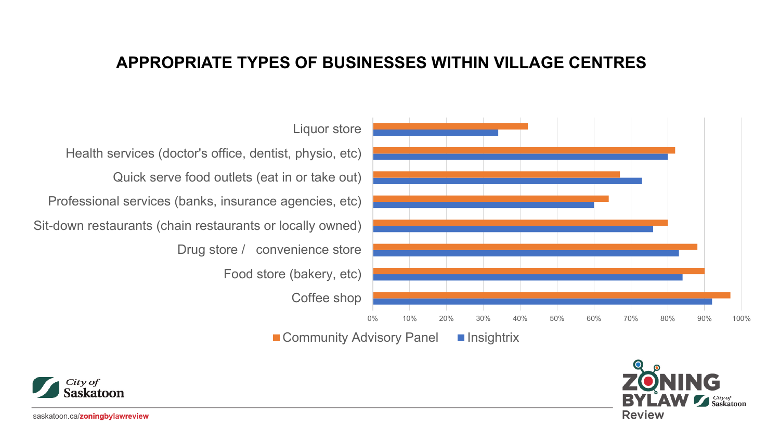#### **APPROPRIATE TYPES OF BUSINESSES WITHIN VILLAGE CENTRES**





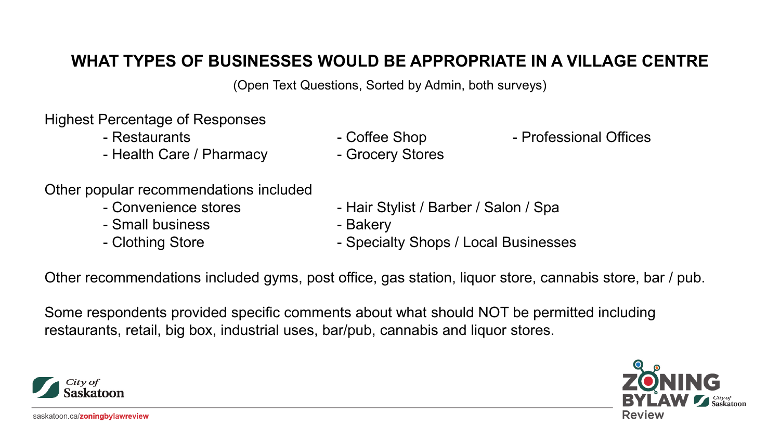# **WHAT TYPES OF BUSINESSES WOULD BE APPROPRIATE IN A VILLAGE CENTRE**

(Open Text Questions, Sorted by Admin, both surveys)

#### Highest Percentage of Responses

- 
- Health Care / Pharmacy  **Grocery Stores**
- 
- Restaurants  **Coffee Shop Professional Offices**
- Other popular recommendations included
	-
	- Small business  **Bakery**
	-
	- Convenience stores Hair Stylist / Barber / Salon / Spa
		-
	- Clothing Store  **Specialty Shops / Local Businesses**

Other recommendations included gyms, post office, gas station, liquor store, cannabis store, bar / pub.

Some respondents provided specific comments about what should NOT be permitted including restaurants, retail, big box, industrial uses, bar/pub, cannabis and liquor stores.



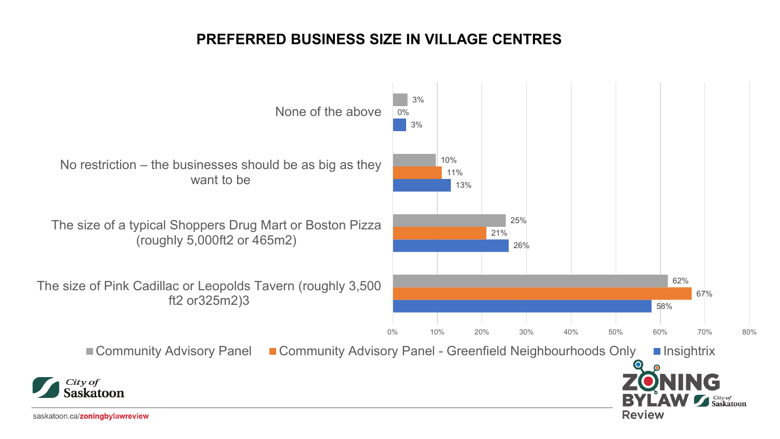#### **PREFERRED BUSINESS SIZE IN VILLAGE CENTRES**

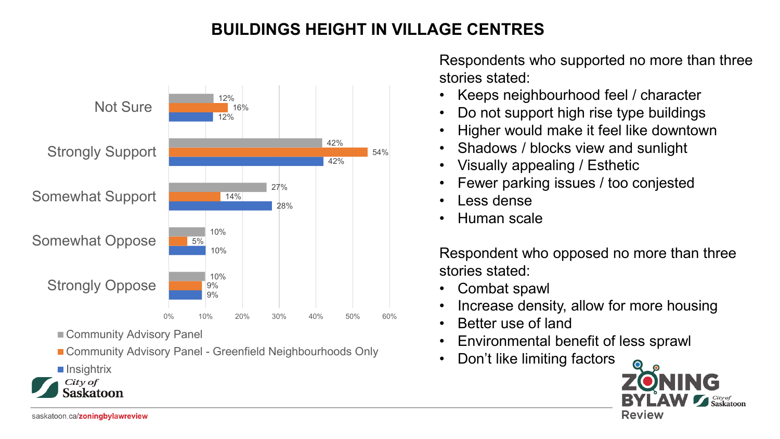# **BUILDINGS HEIGHT IN VILLAGE CENTRES**



■ Community Advisory Panel

■ Community Advisory Panel - Greenfield Neighbourhoods Only

**Insightrix** 

 $City of$ askatoon Respondents who supported no more than three stories stated:

- Keeps neighbourhood feel / character
- Do not support high rise type buildings
- Higher would make it feel like downtown
- Shadows / blocks view and sunlight
- Visually appealing / Esthetic
- Fewer parking issues / too conjested
- Less dense
- Human scale

Respondent who opposed no more than three stories stated:

- Combat spawl
- Increase density, allow for more housing
- Better use of land
- Environmental benefit of less sprawl
- Don't like limiting factors

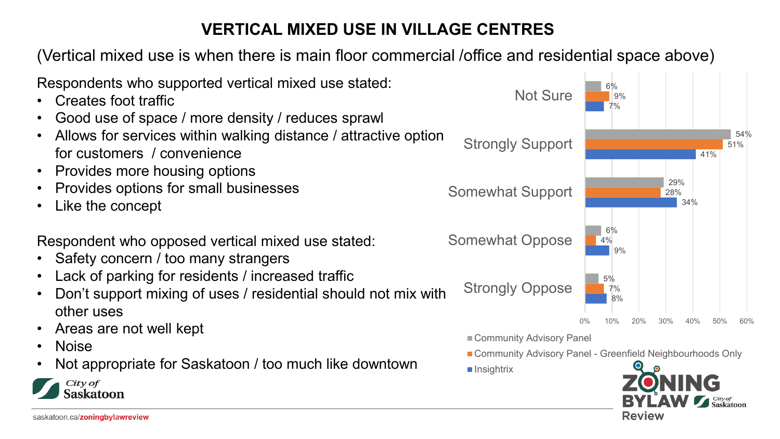# **VERTICAL MIXED USE IN VILLAGE CENTRES**

(Vertical mixed use is when there is main floor commercial /office and residential space above)

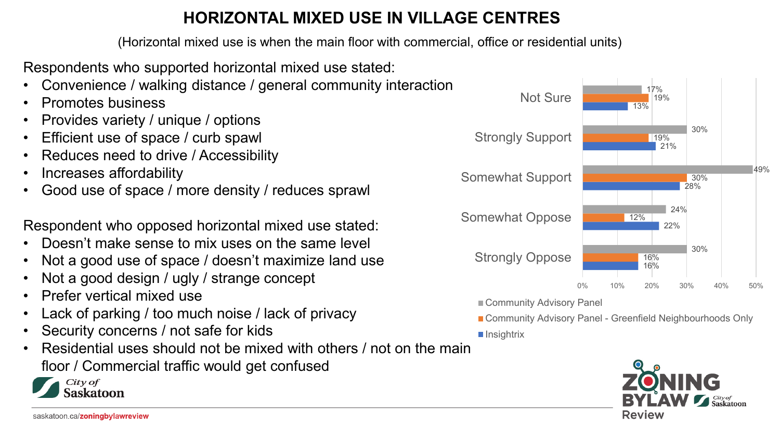# **HORIZONTAL MIXED USE IN VILLAGE CENTRES**

(Horizontal mixed use is when the main floor with commercial, office or residential units)

Respondents who supported horizontal mixed use stated:

- Convenience / walking distance / general community interaction
- Promotes business
- Provides variety / unique / options
- Efficient use of space / curb spawl
- Reduces need to drive / Accessibility
- Increases affordability
- Good use of space / more density / reduces sprawl

Respondent who opposed horizontal mixed use stated:

- Doesn't make sense to mix uses on the same level
- Not a good use of space / doesn't maximize land use
- Not a good design / ugly / strange concept
- Prefer vertical mixed use
- Lack of parking / too much noise / lack of privacy
- Security concerns / not safe for kids
- Residential uses should not be mixed with others / not on the main floor / Commercial traffic would get confused





Community Advisory Panel

■ Community Advisory Panel - Greenfield Neighbourhoods Only

■ Insightrix

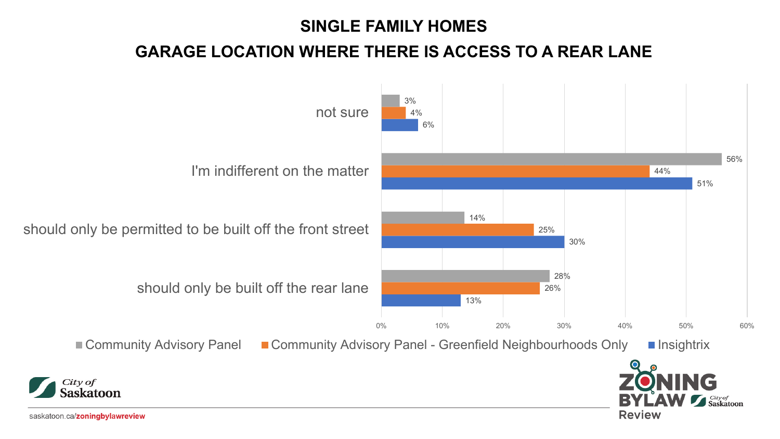## **SINGLE FAMILY HOMES**

# **GARAGE LOCATION WHERE THERE IS ACCESS TO A REAR LANE**

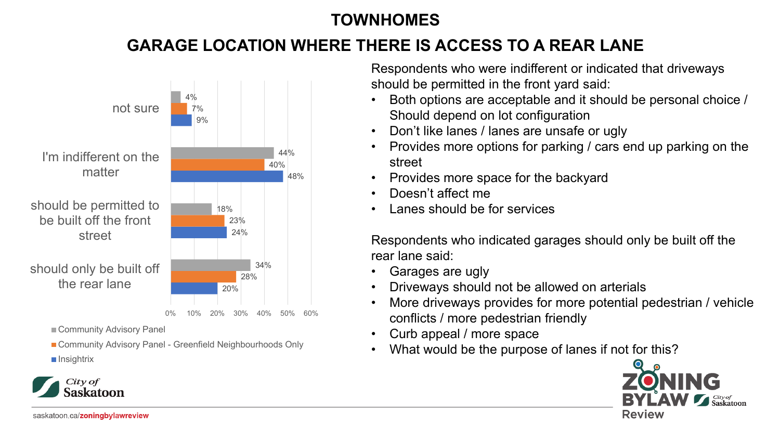# **TOWNHOMES**

# **GARAGE LOCATION WHERE THERE IS ACCESS TO A REAR LANE**



Community Advisory Panel

■ Community Advisory Panel - Greenfield Neighbourhoods Only

**Insightrix** 

City of askatoon

Respondents who were indifferent or indicated that driveways should be permitted in the front yard said:

- Both options are acceptable and it should be personal choice / Should depend on lot configuration
- Don't like lanes / lanes are unsafe or ugly
- Provides more options for parking / cars end up parking on the street
- Provides more space for the backyard
- Doesn't affect me
- Lanes should be for services

Respondents who indicated garages should only be built off the rear lane said:

- Garages are ugly
- Driveways should not be allowed on arterials
- More driveways provides for more potential pedestrian / vehicle conflicts / more pedestrian friendly
- Curb appeal / more space
- What would be the purpose of lanes if not for this?

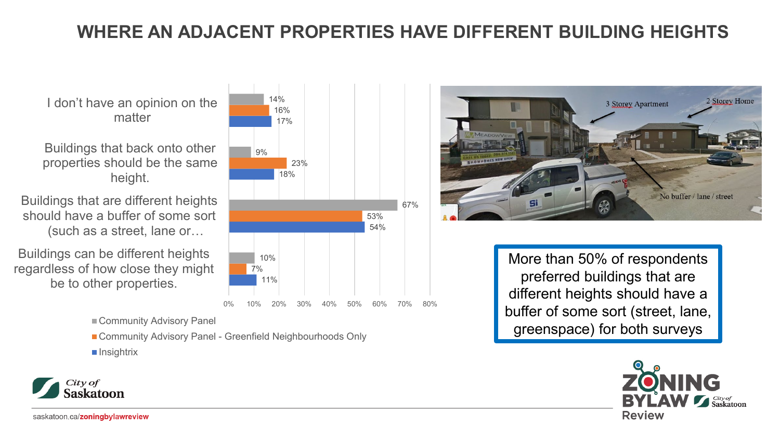# **WHERE AN ADJACENT PROPERTIES HAVE DIFFERENT BUILDING HEIGHTS**

I don't have an opinion on the matter

Buildings that back onto other properties should be the same height.

Buildings that are different heights should have a buffer of some sort (such as a street, lane or…

Buildings can be different heights regardless of how close they might be to other properties.

Community Advisory Panel

■ Community Advisory Panel - Greenfield Neighbourhoods Only

 $\blacksquare$  Insightrix





More than 50% of respondents preferred buildings that are different heights should have a buffer of some sort (street, lane, greenspace) for both surveys



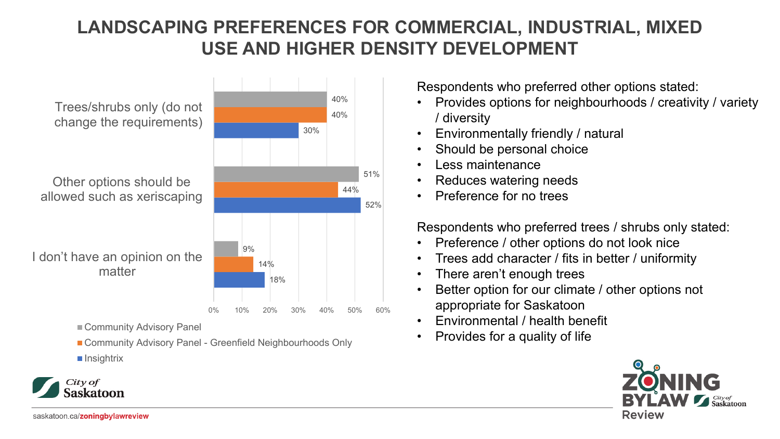# **LANDSCAPING PREFERENCES FOR COMMERCIAL, INDUSTRIAL, MIXED USE AND HIGHER DENSITY DEVELOPMENT**

18% 30% 14% 44% 40% 9% 40% I don't have an opinion on the matter Other options should be allowed such as xeriscaping Trees/shrubs only (do not change the requirements) Community Advisory Panel

■ Community Advisory Panel - Greenfield Neighbourhoods Only

 $\blacksquare$  Insightrix

City of askatoon

52% 51% 0% 10% 20% 30% 40% 50% 60% Respondents who preferred other options stated:

- Provides options for neighbourhoods / creativity / variety / diversity
- Environmentally friendly / natural
- Should be personal choice
- Less maintenance
- Reduces watering needs
- Preference for no trees

Respondents who preferred trees / shrubs only stated:

- Preference / other options do not look nice
- Trees add character / fits in better / uniformity
- There aren't enough trees
- Better option for our climate / other options not appropriate for Saskatoon
- Environmental / health benefit
- Provides for a quality of life

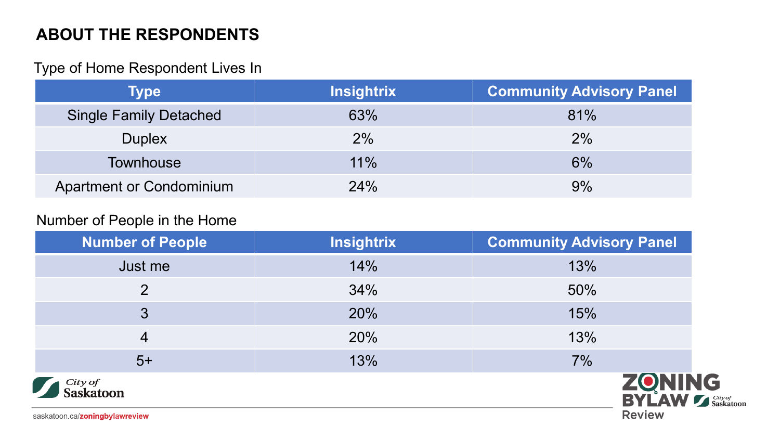#### Type of Home Respondent Lives In

| Type                            | <b>Insightrix</b> | <b>Community Advisory Panel</b> |
|---------------------------------|-------------------|---------------------------------|
| <b>Single Family Detached</b>   | 63%               | 81%                             |
| <b>Duplex</b>                   | 2%                | 2%                              |
| <b>Townhouse</b>                | $11\%$            | 6%                              |
| <b>Apartment or Condominium</b> | 24%               | 9%                              |

#### Number of People in the Home

| <b>Number of People</b>        | <b>Insightrix</b> | <b>Community Advisory Panel</b>   |  |
|--------------------------------|-------------------|-----------------------------------|--|
| Just me                        | 14%               | 13%                               |  |
| 2                              | 34%               | 50%                               |  |
| 3                              | 20%               | 15%                               |  |
| 4                              | 20%               | 13%                               |  |
| $5+$                           | 13%               | 7%                                |  |
| City of<br><b>Saskatoon</b>    |                   | <b>ZONING<br/>BYLAW Lassistem</b> |  |
| saskatoon.ca/zoningbylawreview |                   | <b>Review</b>                     |  |

saskatoon.ca/zoningbylawreview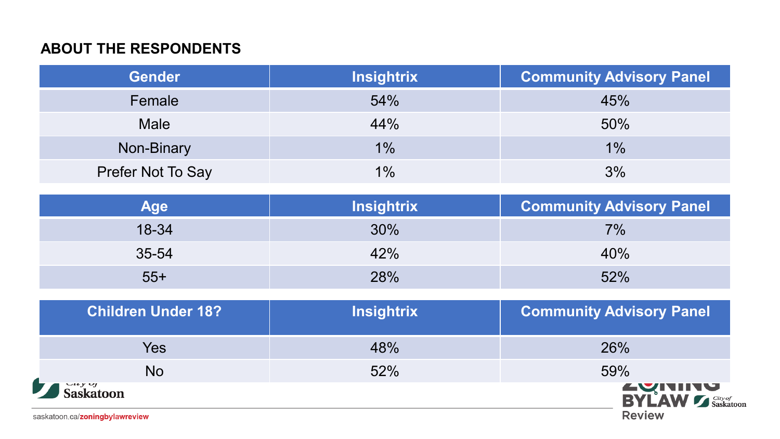| <b>Gender</b>     | <b>Insightrix</b> | <b>Community Advisory Panel</b> |
|-------------------|-------------------|---------------------------------|
| Female            | 54%               | 45%                             |
| <b>Male</b>       | 44%               | 50%                             |
| Non-Binary        | $1\%$             | $1\%$                           |
| Prefer Not To Say | 1%                | 3%                              |

| Age   | <b>Insightrix</b> | <b>Community Advisory Panel</b> |
|-------|-------------------|---------------------------------|
| 18-34 | 30%               | $7\%$                           |
| 35-54 | 42%               | 40%                             |
| $55+$ | 28%               | 52%                             |

| <b>Children Under 18?</b>                   | <b>Insightrix</b> | <b>Community Advisory Panel</b>                             |
|---------------------------------------------|-------------------|-------------------------------------------------------------|
| Yes                                         | 48%               | 26%                                                         |
| <b>No</b>                                   | 52%               | 59%                                                         |
| Saskatoon<br>saskatoon.ca/zoningbylawreview |                   | <b>EXITITY</b><br>BYLAW <b>S</b> Saskatoon<br><b>Review</b> |

saskatoon.ca/zoningbylawreview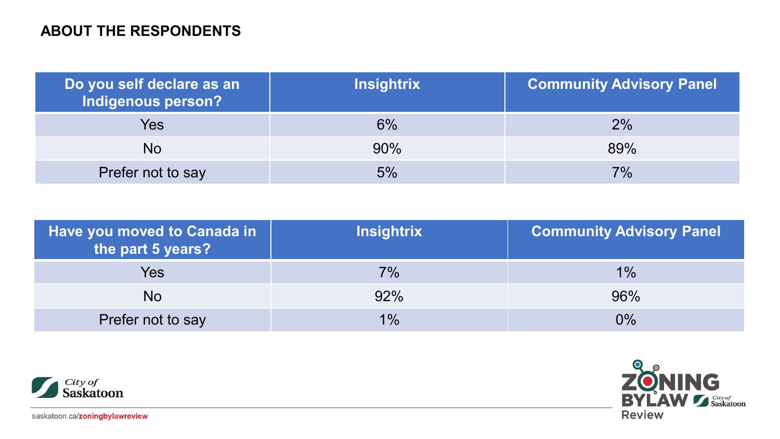| Do you self declare as an<br><b>Indigenous person?</b> | <b>Insightrix</b> | <b>Community Advisory Panel</b> |
|--------------------------------------------------------|-------------------|---------------------------------|
| Yes                                                    | $6\%$             | $2\%$                           |
| No                                                     | 90%               | 89%                             |
| Prefer not to say                                      | 5%                | 7%                              |

| Have you moved to Canada in<br>the part 5 years? | <b>Insightrix</b> | <b>Community Advisory Panel</b> |
|--------------------------------------------------|-------------------|---------------------------------|
| Yes                                              | $7\%$             | $1\%$                           |
| No.                                              | 92%               | 96%                             |
| Prefer not to say                                | 1%                | $0\%$                           |